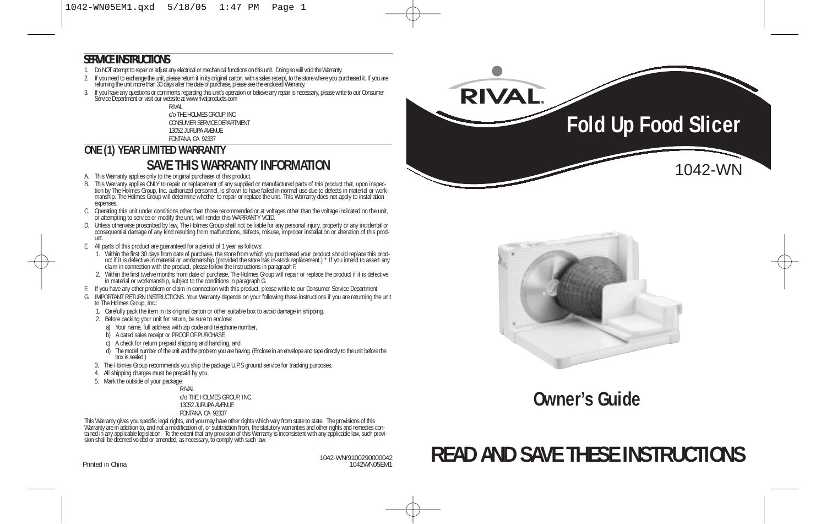#### **SERVICE INSTRUCTIONS**

- 1. Do NOT attempt to repair or adjust any electrical or mechanical functions on this unit. Doing so will void the Warranty.
- 1. If you need to exchange the unit, please return it in its original carton, with a sales receipt, to the store where you purchased it. If you are<br>returning the unit more than 30 days after the date of purchase, please se
- 3. If you have any questions or comments regarding this unit's operation or believe any repair is necessary, please write to our Consumer Service Department or visit our website at www.rivalproducts.com

RIVAL c/o THE HOLMES GROUP, INC. CONSUMER SERVICE DEPARTMENT 13052 JURUPA AVENUE FONTANA, CA 92337

# **ONE (1) YEAR LIMITED WARRANTY SAVE THIS WARRANTY INFORMATION**

- A. This Warranty applies only to the original purchaser of this product.
- B. This Warranty applies ONLY to repair or replacement of any supplied or manufactured parts of this product that, upon inspec-<br>tion by The Holmes Group, Inc. authorized personnel, is shown to have failed in normal use due manship. The Holmes Group will determine whether to repair or replace the unit. This Warranty does not apply to installation expenses.
- C. Operating this unit under conditions other than those recommended or at voltages other than the voltage indicated on the unit, or attempting to service or modify the unit, will render this WARRANTY VOID.
- D. Unless otherwise proscribed by law, The Holmes Group shall not be liable for any personal injury, property or any incidental or<br>-consequential damage of any kind resulting from malfunctions, defects, misuse, improper in uct.
- E. All parts of this product are guaranteed for a period of 1 year as follows:
	- 1. Within the first 30 days from date of purchase, the store from which you purchased your product should replace this prod-<br>uct if it is defective in material or workmanship (provided the store has in-stock replacement.) claim in connection with the product, please follow the instructions in paragraph F.
	- 2. Within the first twelve months from date of purchase, The Holmes Group will repair or replace the product if it is defective in material or workmanship, subject to the conditions in paragraph G.
- F. If you have any other problem or claim in connection with this product, please write to our Consumer Service Department.
- G. IMPORTANT RETURN INSTRUCTIONS. Your Warranty depends on your following these instructions if you are returning the unit to The Holmes Group, Inc.:
	- 1. Carefully pack the item in its original carton or other suitable box to avoid damage in shipping.
	- 2. Before packing your unit for return, be sure to enclose:
	- a) Your name, full address with zip code and telephone number,
	- b) A dated sales receipt or PROOF OF PURCHASE.
	- c) A check for return prepaid shipping and handling, and
	- d) The model number of the unit and the problem you are having. (Enclose in an envelope and tape directly to the unit before the box is sealed.)
	- 3. The Holmes Group recommends you ship the package U.P.S ground service for tracking purposes.
	- 4. All shipping charges must be prepaid by you.
	- 5. Mark the outside of your package:

RIVAL c/o THE HOLMES GROUP, INC. 13052 JURUPA AVENUE FONTANA, CA 92337

This Warranty gives you specific legal rights, and you may have other rights which vary from state to state. The provisions of this<br>Warranty are in addition to, and not a modification of, or subtraction from, the statutory tained in any applicable legislation. To the extent that any provision of this Warranty is inconsistent with any applicable law, such provi-<br>sion shall be deemed voided or amended, as necessary, to comply with such law.

Printed in China

1042-WN/9100290000042





**Owner's Guide**

# **READ AND SAVE THESE INSTRUCTIONS**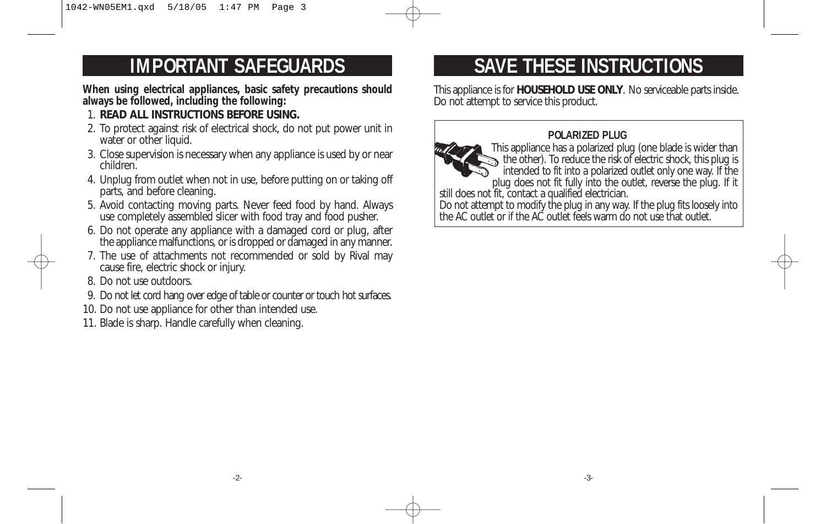# **IMPORTANT SAFEGUARDS**

**When using electrical appliances, basic safety precautions should always be followed, including the following:** 

- 1. **READ ALL INSTRUCTIONS BEFORE USING.**
- 2. To protect against risk of electrical shock, do not put power unit in water or other liquid.
- 3. Close supervision is necessary when any appliance is used by or near children.
- 4. Unplug from outlet when not in use, before putting on or taking off parts, and before cleaning.
- 5. Avoid contacting moving parts. Never feed food by hand. Always use completely assembled slicer with food tray and food pusher.
- 6. Do not operate any appliance with a damaged cord or plug, after the appliance malfunctions, or is dropped or damaged in any manner.
- 7. The use of attachments not recommended or sold by Rival may cause fire, electric shock or injury.
- 8. Do not use outdoors.
- 9. Do not let cord hang over edge of table or counter or touch hot surfaces.
- 10. Do not use appliance for other than intended use.
- 11. Blade is sharp. Handle carefully when cleaning.

# **SAVE THESE INSTRUCTIONS**

This appliance is for **HOUSEHOLD USE ONLY**. No serviceable parts inside. Do not attempt to service this product.

### **POLARIZED PLUG**



This appliance has a polarized plug (one blade is wider than the other). To reduce the risk of electric shock, this plug is intended to fit into a polarized outlet only one way. If the plug does not fit fully into the outlet, reverse the plug. If it

still does not fit, contact a qualified electrician.

Do not attempt to modify the plug in any way. If the plug fits loosely into the AC outlet or if the AC outlet feels warm do not use that outlet.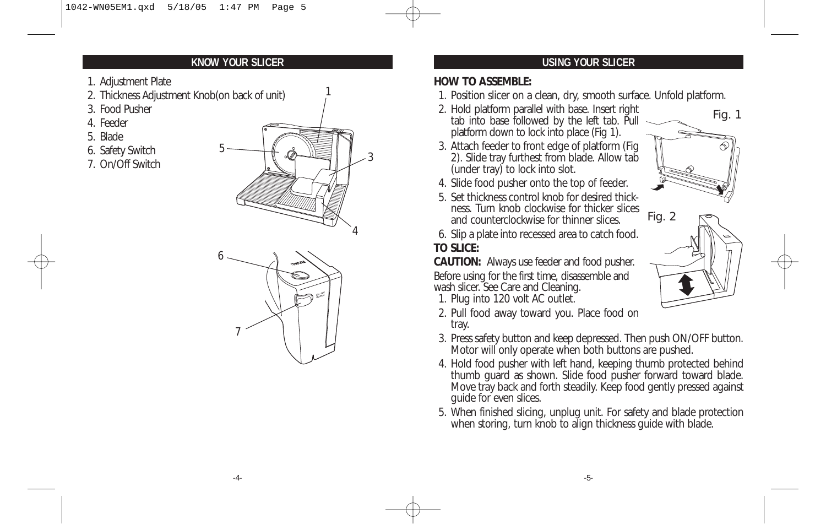### **KNOW YOUR SLICER USING YOUR SLICER**

- 1. Adjustment Plate
- 2. Thickness Adjustment Knob(on back of unit)
- 3. Food Pusher
- 4. Feeder
- 5. Blade
- 6. Safety Switch
- 7. On/Off Switch



1



#### **HOW TO ASSEMBLE:**

- 1. Position slicer on a clean, dry, smooth surface. Unfold platform.
- 2. Hold platform parallel with base. Insert right tab into base followed by the left tab. Pull platform down to lock into place (Fig 1).
- 3. Attach feeder to front edge of platform (Fig 2). Slide tray furthest from blade. Allow tab (under tray) to lock into slot.
- 4. Slide food pusher onto the top of feeder.
- 5. Set thickness control knob for desired thickness. Turn knob clockwise for thicker slices and counterclockwise for thinner slices.
- 6. Slip a plate into recessed area to catch food. **TO SLICE:**

**CAUTION:** Always use feeder and food pusher. Before using for the first time, disassemble and wash slicer. See Care and Cleaning.

- 1. Plug into 120 volt AC outlet.
- 2. Pull food away toward you. Place food on tray.
- 3. Press safety button and keep depressed. Then push ON/OFF button. Motor will only operate when both buttons are pushed.
- 4. Hold food pusher with left hand, keeping thumb protected behind thumb guard as shown. Slide food pusher forward toward blade. Move tray back and forth steadily. Keep food gently pressed against guide for even slices.
- 5. When finished slicing, unplug unit. For safety and blade protection when storing, turn knob to align thickness guide with blade.



Fig. 1